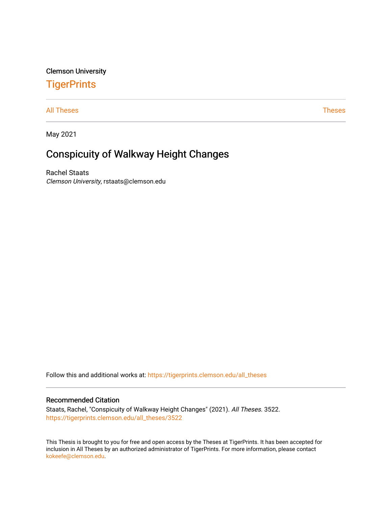## Clemson University

# **TigerPrints**

#### [All Theses](https://tigerprints.clemson.edu/all_theses) **Theses** [Theses](https://tigerprints.clemson.edu/theses) **Theses**

May 2021

# Conspicuity of Walkway Height Changes

Rachel Staats Clemson University, rstaats@clemson.edu

Follow this and additional works at: [https://tigerprints.clemson.edu/all\\_theses](https://tigerprints.clemson.edu/all_theses?utm_source=tigerprints.clemson.edu%2Fall_theses%2F3522&utm_medium=PDF&utm_campaign=PDFCoverPages) 

#### Recommended Citation

Staats, Rachel, "Conspicuity of Walkway Height Changes" (2021). All Theses. 3522. [https://tigerprints.clemson.edu/all\\_theses/3522](https://tigerprints.clemson.edu/all_theses/3522?utm_source=tigerprints.clemson.edu%2Fall_theses%2F3522&utm_medium=PDF&utm_campaign=PDFCoverPages) 

This Thesis is brought to you for free and open access by the Theses at TigerPrints. It has been accepted for inclusion in All Theses by an authorized administrator of TigerPrints. For more information, please contact [kokeefe@clemson.edu](mailto:kokeefe@clemson.edu).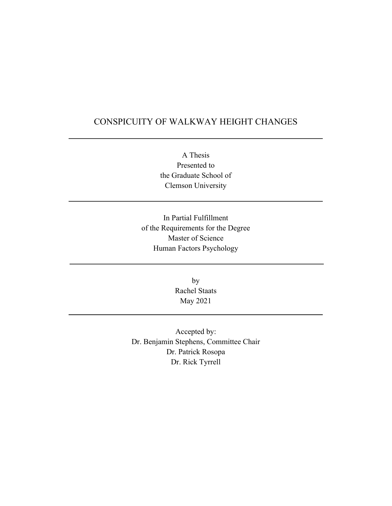# CONSPICUITY OF WALKWAY HEIGHT CHANGES

A Thesis Presented to the Graduate School of Clemson University

In Partial Fulfillment of the Requirements for the Degree Master of Science Human Factors Psychology

> by Rachel Staats May 2021

Accepted by: Dr. Benjamin Stephens, Committee Chair Dr. Patrick Rosopa Dr. Rick Tyrrell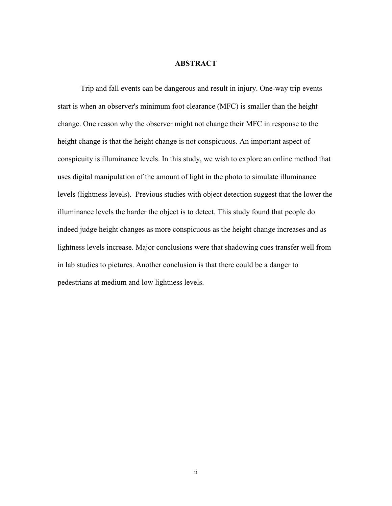### **ABSTRACT**

Trip and fall events can be dangerous and result in injury. One-way trip events start is when an observer's minimum foot clearance (MFC) is smaller than the height change. One reason why the observer might not change their MFC in response to the height change is that the height change is not conspicuous. An important aspect of conspicuity is illuminance levels. In this study, we wish to explore an online method that uses digital manipulation of the amount of light in the photo to simulate illuminance levels (lightness levels). Previous studies with object detection suggest that the lower the illuminance levels the harder the object is to detect. This study found that people do indeed judge height changes as more conspicuous as the height change increases and as lightness levels increase. Major conclusions were that shadowing cues transfer well from in lab studies to pictures. Another conclusion is that there could be a danger to pedestrians at medium and low lightness levels.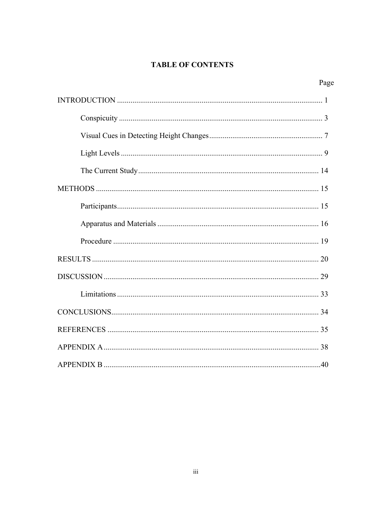# **TABLE OF CONTENTS**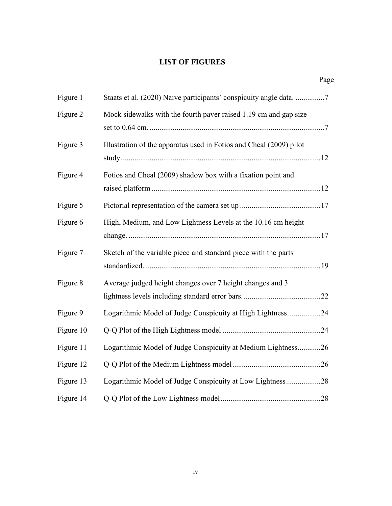# **LIST OF FIGURES**

|           | Page                                                                |
|-----------|---------------------------------------------------------------------|
| Figure 1  | Staats et al. (2020) Naive participants' conspicuity angle data. 7  |
| Figure 2  | Mock sidewalks with the fourth paver raised 1.19 cm and gap size    |
| Figure 3  | Illustration of the apparatus used in Fotios and Cheal (2009) pilot |
| Figure 4  | Fotios and Cheal (2009) shadow box with a fixation point and        |
| Figure 5  |                                                                     |
| Figure 6  | High, Medium, and Low Lightness Levels at the 10.16 cm height       |
| Figure 7  | Sketch of the variable piece and standard piece with the parts      |
| Figure 8  | Average judged height changes over 7 height changes and 3           |
| Figure 9  | Logarithmic Model of Judge Conspicuity at High Lightness 24         |
| Figure 10 |                                                                     |
| Figure 11 | Logarithmic Model of Judge Conspicuity at Medium Lightness26        |
| Figure 12 |                                                                     |
| Figure 13 | Logarithmic Model of Judge Conspicuity at Low Lightness28           |
| Figure 14 |                                                                     |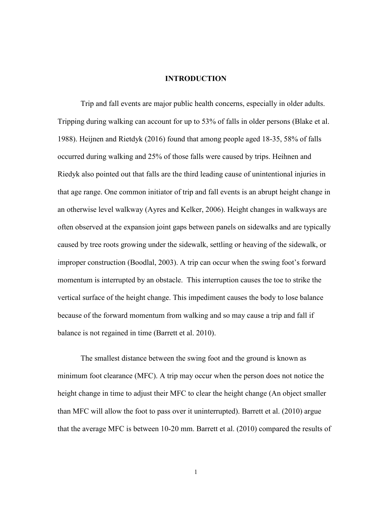#### **INTRODUCTION**

Trip and fall events are major public health concerns, especially in older adults. Tripping during walking can account for up to 53% of falls in older persons (Blake et al. 1988). Heijnen and Rietdyk (2016) found that among people aged 18-35, 58% of falls occurred during walking and 25% of those falls were caused by trips. Heihnen and Riedyk also pointed out that falls are the third leading cause of unintentional injuries in that age range. One common initiator of trip and fall events is an abrupt height change in an otherwise level walkway (Ayres and Kelker, 2006). Height changes in walkways are often observed at the expansion joint gaps between panels on sidewalks and are typically caused by tree roots growing under the sidewalk, settling or heaving of the sidewalk, or improper construction (Boodlal, 2003). A trip can occur when the swing foot's forward momentum is interrupted by an obstacle. This interruption causes the toe to strike the vertical surface of the height change. This impediment causes the body to lose balance because of the forward momentum from walking and so may cause a trip and fall if balance is not regained in time (Barrett et al. 2010).

The smallest distance between the swing foot and the ground is known as minimum foot clearance (MFC). A trip may occur when the person does not notice the height change in time to adjust their MFC to clear the height change (An object smaller than MFC will allow the foot to pass over it uninterrupted). Barrett et al. (2010) argue that the average MFC is between 10-20 mm. Barrett et al. (2010) compared the results of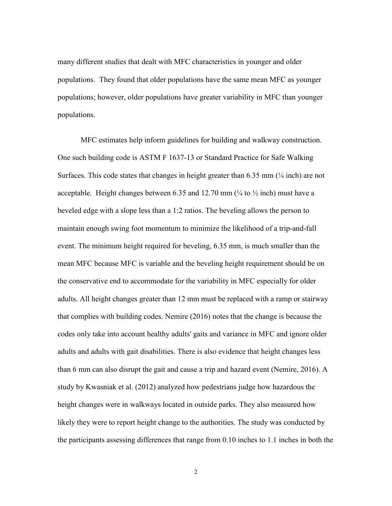many different studies that dealt with MFC characteristics in younger and older populations. They found that older populations have the same mean MFC as younger populations; however, older populations have greater variability in MFC than younger populations.

MFC estimates help inform guidelines for building and walkway construction. One such building code is ASTM F 1637-13 or Standard Practice for Safe Walking Surfaces. This code states that changes in height greater than  $6.35$  mm  $\left(\frac{1}{4} \text{ inch}\right)$  are not acceptable. Height changes between 6.35 and 12.70 mm  $\left(\frac{1}{4} \text{ to } \frac{1}{2} \text{ inch}\right)$  must have a beveled edge with a slope less than a 1:2 ratios. The beveling allows the person to maintain enough swing foot momentum to minimize the likelihood of a trip-and-fall event. The minimum height required for beveling, 6.35 mm, is much smaller than the mean MFC because MFC is variable and the beveling height requirement should be on the conservative end to accommodate for the variability in MFC especially for older adults. All height changes greater than 12 mm must be replaced with a ramp or stairway that complies with building codes. Nemire (2016) notes that the change is because the codes only take into account healthy adults' gaits and variance in MFC and ignore older adults and adults with gait disabilities. There is also evidence that height changes less than 6 mm can also disrupt the gait and cause a trip and hazard event (Nemire, 2016). A study by Kwasniak et al. (2012) analyzed how pedestrians judge how hazardous the height changes were in walkways located in outside parks. They also measured how likely they were to report height change to the authorities. The study was conducted by the participants assessing differences that range from 0.10 inches to 1.1 inches in both the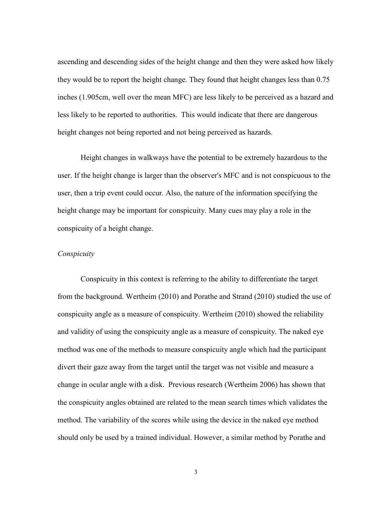ascending and descending sides of the height change and then they were asked how likely they would be to report the height change. They found that height changes less than 0.75 inches (1.905cm, well over the mean MFC) are less likely to be perceived as a hazard and less likely to be reported to authorities. This would indicate that there are dangerous height changes not being reported and not being perceived as hazards.

Height changes in walkways have the potential to be extremely hazardous to the user. If the height change is larger than the observer's MFC and is not conspicuous to the user, then a trip event could occur. Also, the nature of the information specifying the height change may be important for conspicuity. Many cues may play a role in the conspicuity of a height change.

#### *Conspicuity*

Conspicuity in this context is referring to the ability to differentiate the target from the background. Wertheim (2010) and Porathe and Strand (2010) studied the use of conspicuity angle as a measure of conspicuity. Wertheim (2010) showed the reliability and validity of using the conspicuity angle as a measure of conspicuity. The naked eye method was one of the methods to measure conspicuity angle which had the participant divert their gaze away from the target until the target was not visible and measure a change in ocular angle with a disk. Previous research (Wertheim 2006) has shown that the conspicuity angles obtained are related to the mean search times which validates the method. The variability of the scores while using the device in the naked eye method should only be used by a trained individual. However, a similar method by Porathe and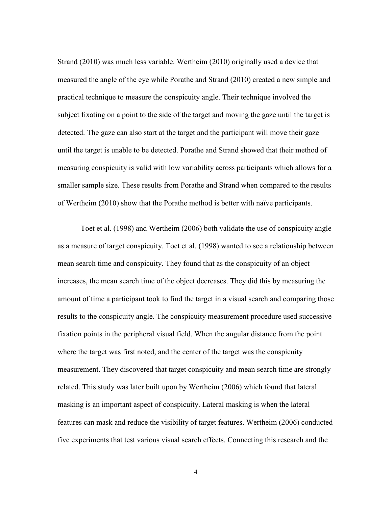Strand (2010) was much less variable. Wertheim (2010) originally used a device that measured the angle of the eye while Porathe and Strand (2010) created a new simple and practical technique to measure the conspicuity angle. Their technique involved the subject fixating on a point to the side of the target and moving the gaze until the target is detected. The gaze can also start at the target and the participant will move their gaze until the target is unable to be detected. Porathe and Strand showed that their method of measuring conspicuity is valid with low variability across participants which allows for a smaller sample size. These results from Porathe and Strand when compared to the results of Wertheim (2010) show that the Porathe method is better with naïve participants.

Toet et al. (1998) and Wertheim (2006) both validate the use of conspicuity angle as a measure of target conspicuity. Toet et al. (1998) wanted to see a relationship between mean search time and conspicuity. They found that as the conspicuity of an object increases, the mean search time of the object decreases. They did this by measuring the amount of time a participant took to find the target in a visual search and comparing those results to the conspicuity angle. The conspicuity measurement procedure used successive fixation points in the peripheral visual field. When the angular distance from the point where the target was first noted, and the center of the target was the conspicuity measurement. They discovered that target conspicuity and mean search time are strongly related. This study was later built upon by Wertheim (2006) which found that lateral masking is an important aspect of conspicuity. Lateral masking is when the lateral features can mask and reduce the visibility of target features. Wertheim (2006) conducted five experiments that test various visual search effects. Connecting this research and the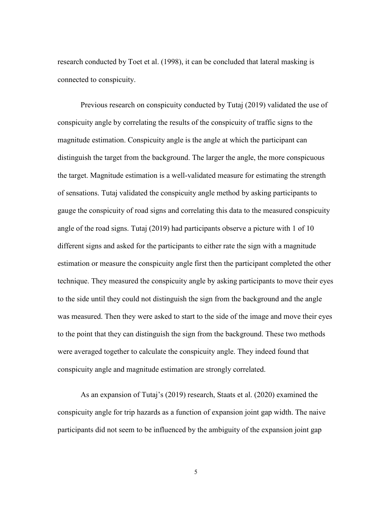research conducted by Toet et al. (1998), it can be concluded that lateral masking is connected to conspicuity.

Previous research on conspicuity conducted by Tutaj (2019) validated the use of conspicuity angle by correlating the results of the conspicuity of traffic signs to the magnitude estimation. Conspicuity angle is the angle at which the participant can distinguish the target from the background. The larger the angle, the more conspicuous the target. Magnitude estimation is a well-validated measure for estimating the strength of sensations. Tutaj validated the conspicuity angle method by asking participants to gauge the conspicuity of road signs and correlating this data to the measured conspicuity angle of the road signs. Tutaj (2019) had participants observe a picture with 1 of 10 different signs and asked for the participants to either rate the sign with a magnitude estimation or measure the conspicuity angle first then the participant completed the other technique. They measured the conspicuity angle by asking participants to move their eyes to the side until they could not distinguish the sign from the background and the angle was measured. Then they were asked to start to the side of the image and move their eyes to the point that they can distinguish the sign from the background. These two methods were averaged together to calculate the conspicuity angle. They indeed found that conspicuity angle and magnitude estimation are strongly correlated.

 As an expansion of Tutaj's (2019) research, Staats et al. (2020) examined the conspicuity angle for trip hazards as a function of expansion joint gap width. The naive participants did not seem to be influenced by the ambiguity of the expansion joint gap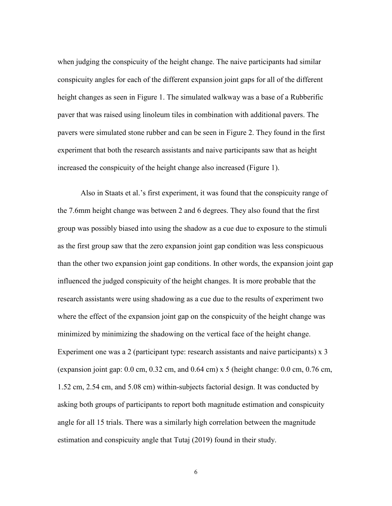when judging the conspicuity of the height change. The naive participants had similar conspicuity angles for each of the different expansion joint gaps for all of the different height changes as seen in Figure 1. The simulated walkway was a base of a Rubberific paver that was raised using linoleum tiles in combination with additional pavers. The pavers were simulated stone rubber and can be seen in Figure 2. They found in the first experiment that both the research assistants and naive participants saw that as height increased the conspicuity of the height change also increased (Figure 1).

Also in Staats et al.'s first experiment, it was found that the conspicuity range of the 7.6mm height change was between 2 and 6 degrees. They also found that the first group was possibly biased into using the shadow as a cue due to exposure to the stimuli as the first group saw that the zero expansion joint gap condition was less conspicuous than the other two expansion joint gap conditions. In other words, the expansion joint gap influenced the judged conspicuity of the height changes. It is more probable that the research assistants were using shadowing as a cue due to the results of experiment two where the effect of the expansion joint gap on the conspicuity of the height change was minimized by minimizing the shadowing on the vertical face of the height change. Experiment one was a 2 (participant type: research assistants and naive participants) x 3 (expansion joint gap:  $0.0 \text{ cm}$ ,  $0.32 \text{ cm}$ , and  $0.64 \text{ cm}$ ) x 5 (height change:  $0.0 \text{ cm}$ ,  $0.76 \text{ cm}$ , 1.52 cm, 2.54 cm, and 5.08 cm) within-subjects factorial design. It was conducted by asking both groups of participants to report both magnitude estimation and conspicuity angle for all 15 trials. There was a similarly high correlation between the magnitude estimation and conspicuity angle that Tutaj (2019) found in their study.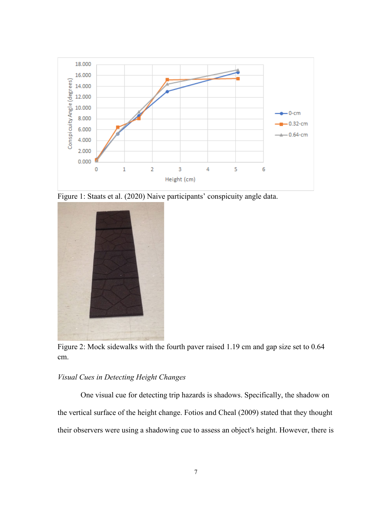

Figure 1: Staats et al. (2020) Naive participants' conspicuity angle data.



Figure 2: Mock sidewalks with the fourth paver raised 1.19 cm and gap size set to 0.64 cm.

## *Visual Cues in Detecting Height Changes*

 One visual cue for detecting trip hazards is shadows. Specifically, the shadow on the vertical surface of the height change. Fotios and Cheal (2009) stated that they thought their observers were using a shadowing cue to assess an object's height. However, there is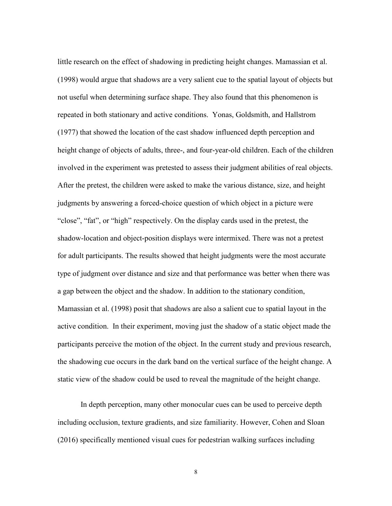little research on the effect of shadowing in predicting height changes. Mamassian et al. (1998) would argue that shadows are a very salient cue to the spatial layout of objects but not useful when determining surface shape. They also found that this phenomenon is repeated in both stationary and active conditions. Yonas, Goldsmith, and Hallstrom (1977) that showed the location of the cast shadow influenced depth perception and height change of objects of adults, three-, and four-year-old children. Each of the children involved in the experiment was pretested to assess their judgment abilities of real objects. After the pretest, the children were asked to make the various distance, size, and height judgments by answering a forced-choice question of which object in a picture were "close", "fat", or "high" respectively. On the display cards used in the pretest, the shadow-location and object-position displays were intermixed. There was not a pretest for adult participants. The results showed that height judgments were the most accurate type of judgment over distance and size and that performance was better when there was a gap between the object and the shadow. In addition to the stationary condition, Mamassian et al. (1998) posit that shadows are also a salient cue to spatial layout in the active condition. In their experiment, moving just the shadow of a static object made the participants perceive the motion of the object. In the current study and previous research, the shadowing cue occurs in the dark band on the vertical surface of the height change. A static view of the shadow could be used to reveal the magnitude of the height change.

In depth perception, many other monocular cues can be used to perceive depth including occlusion, texture gradients, and size familiarity. However, Cohen and Sloan (2016) specifically mentioned visual cues for pedestrian walking surfaces including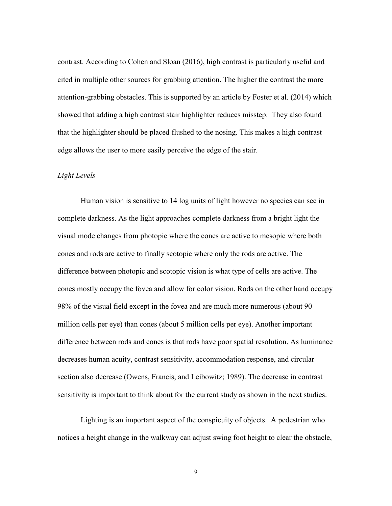contrast. According to Cohen and Sloan (2016), high contrast is particularly useful and cited in multiple other sources for grabbing attention. The higher the contrast the more attention-grabbing obstacles. This is supported by an article by Foster et al. (2014) which showed that adding a high contrast stair highlighter reduces misstep. They also found that the highlighter should be placed flushed to the nosing. This makes a high contrast edge allows the user to more easily perceive the edge of the stair.

#### *Light Levels*

Human vision is sensitive to 14 log units of light however no species can see in complete darkness. As the light approaches complete darkness from a bright light the visual mode changes from photopic where the cones are active to mesopic where both cones and rods are active to finally scotopic where only the rods are active. The difference between photopic and scotopic vision is what type of cells are active. The cones mostly occupy the fovea and allow for color vision. Rods on the other hand occupy 98% of the visual field except in the fovea and are much more numerous (about 90 million cells per eye) than cones (about 5 million cells per eye). Another important difference between rods and cones is that rods have poor spatial resolution. As luminance decreases human acuity, contrast sensitivity, accommodation response, and circular section also decrease (Owens, Francis, and Leibowitz; 1989). The decrease in contrast sensitivity is important to think about for the current study as shown in the next studies.

Lighting is an important aspect of the conspicuity of objects. A pedestrian who notices a height change in the walkway can adjust swing foot height to clear the obstacle,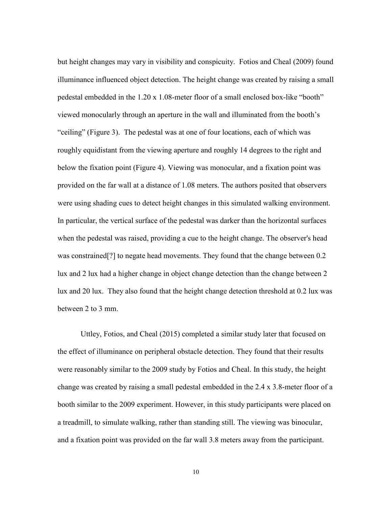but height changes may vary in visibility and conspicuity. Fotios and Cheal (2009) found illuminance influenced object detection. The height change was created by raising a small pedestal embedded in the 1.20 x 1.08-meter floor of a small enclosed box-like "booth" viewed monocularly through an aperture in the wall and illuminated from the booth's "ceiling" (Figure 3). The pedestal was at one of four locations, each of which was roughly equidistant from the viewing aperture and roughly 14 degrees to the right and below the fixation point (Figure 4). Viewing was monocular, and a fixation point was provided on the far wall at a distance of 1.08 meters. The authors posited that observers were using shading cues to detect height changes in this simulated walking environment. In particular, the vertical surface of the pedestal was darker than the horizontal surfaces when the pedestal was raised, providing a cue to the height change. The observer's head was constrained[?] to negate head movements. They found that the change between 0.2 lux and 2 lux had a higher change in object change detection than the change between 2 lux and 20 lux. They also found that the height change detection threshold at 0.2 lux was between 2 to 3 mm.

Uttley, Fotios, and Cheal (2015) completed a similar study later that focused on the effect of illuminance on peripheral obstacle detection. They found that their results were reasonably similar to the 2009 study by Fotios and Cheal. In this study, the height change was created by raising a small pedestal embedded in the 2.4 x 3.8-meter floor of a booth similar to the 2009 experiment. However, in this study participants were placed on a treadmill, to simulate walking, rather than standing still. The viewing was binocular, and a fixation point was provided on the far wall 3.8 meters away from the participant.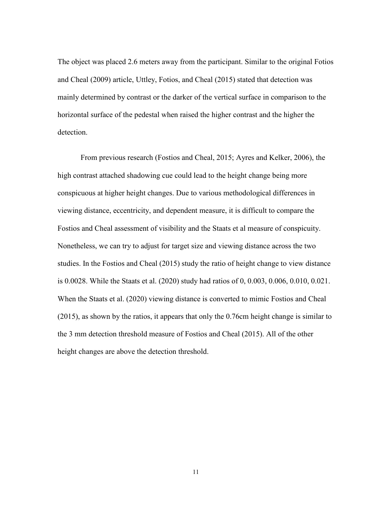The object was placed 2.6 meters away from the participant. Similar to the original Fotios and Cheal (2009) article, Uttley, Fotios, and Cheal (2015) stated that detection was mainly determined by contrast or the darker of the vertical surface in comparison to the horizontal surface of the pedestal when raised the higher contrast and the higher the detection.

From previous research (Fostios and Cheal, 2015; Ayres and Kelker, 2006), the high contrast attached shadowing cue could lead to the height change being more conspicuous at higher height changes. Due to various methodological differences in viewing distance, eccentricity, and dependent measure, it is difficult to compare the Fostios and Cheal assessment of visibility and the Staats et al measure of conspicuity. Nonetheless, we can try to adjust for target size and viewing distance across the two studies. In the Fostios and Cheal (2015) study the ratio of height change to view distance is 0.0028. While the Staats et al. (2020) study had ratios of 0, 0.003, 0.006, 0.010, 0.021. When the Staats et al. (2020) viewing distance is converted to mimic Fostios and Cheal (2015), as shown by the ratios, it appears that only the 0.76cm height change is similar to the 3 mm detection threshold measure of Fostios and Cheal (2015). All of the other height changes are above the detection threshold.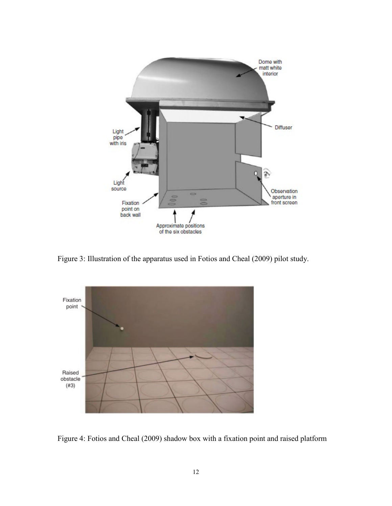

Figure 3: Illustration of the apparatus used in Fotios and Cheal (2009) pilot study.



Figure 4: Fotios and Cheal (2009) shadow box with a fixation point and raised platform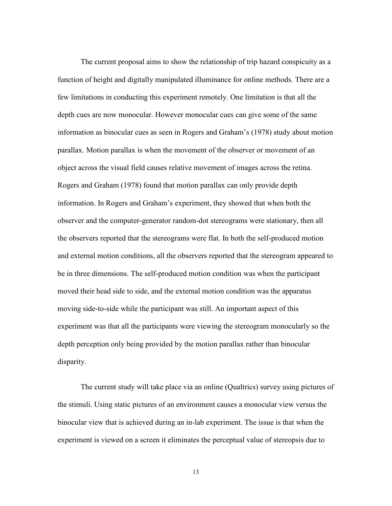The current proposal aims to show the relationship of trip hazard conspicuity as a function of height and digitally manipulated illuminance for online methods. There are a few limitations in conducting this experiment remotely. One limitation is that all the depth cues are now monocular. However monocular cues can give some of the same information as binocular cues as seen in Rogers and Graham's (1978) study about motion parallax. Motion parallax is when the movement of the observer or movement of an object across the visual field causes relative movement of images across the retina. Rogers and Graham (1978) found that motion parallax can only provide depth information. In Rogers and Graham's experiment, they showed that when both the observer and the computer-generator random-dot stereograms were stationary, then all the observers reported that the stereograms were flat. In both the self-produced motion and external motion conditions, all the observers reported that the stereogram appeared to be in three dimensions. The self-produced motion condition was when the participant moved their head side to side, and the external motion condition was the apparatus moving side-to-side while the participant was still. An important aspect of this experiment was that all the participants were viewing the stereogram monocularly so the depth perception only being provided by the motion parallax rather than binocular disparity.

The current study will take place via an online (Qualtrics) survey using pictures of the stimuli. Using static pictures of an environment causes a monocular view versus the binocular view that is achieved during an in-lab experiment. The issue is that when the experiment is viewed on a screen it eliminates the perceptual value of stereopsis due to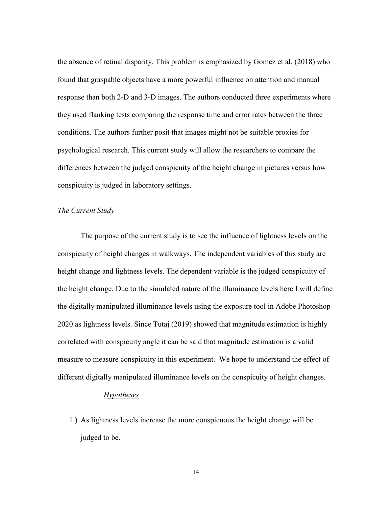the absence of retinal disparity. This problem is emphasized by Gomez et al. (2018) who found that graspable objects have a more powerful influence on attention and manual response than both 2-D and 3-D images. The authors conducted three experiments where they used flanking tests comparing the response time and error rates between the three conditions. The authors further posit that images might not be suitable proxies for psychological research. This current study will allow the researchers to compare the differences between the judged conspicuity of the height change in pictures versus how conspicuity is judged in laboratory settings.

#### *The Current Study*

The purpose of the current study is to see the influence of lightness levels on the conspicuity of height changes in walkways. The independent variables of this study are height change and lightness levels. The dependent variable is the judged conspicuity of the height change. Due to the simulated nature of the illuminance levels here I will define the digitally manipulated illuminance levels using the exposure tool in Adobe Photoshop 2020 as lightness levels. Since Tutaj (2019) showed that magnitude estimation is highly correlated with conspicuity angle it can be said that magnitude estimation is a valid measure to measure conspicuity in this experiment. We hope to understand the effect of different digitally manipulated illuminance levels on the conspicuity of height changes.

## *Hypotheses*

1.) As lightness levels increase the more conspicuous the height change will be judged to be.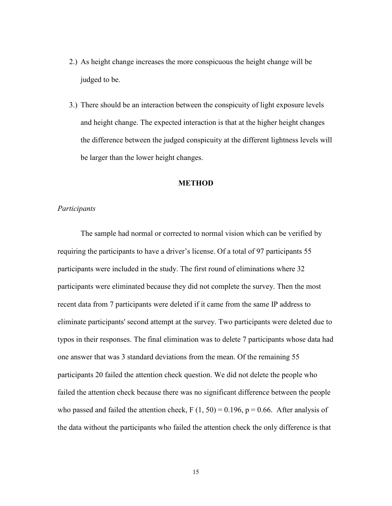- 2.) As height change increases the more conspicuous the height change will be judged to be.
- 3.) There should be an interaction between the conspicuity of light exposure levels and height change. The expected interaction is that at the higher height changes the difference between the judged conspicuity at the different lightness levels will be larger than the lower height changes.

#### **METHOD**

#### *Participants*

 The sample had normal or corrected to normal vision which can be verified by requiring the participants to have a driver's license. Of a total of 97 participants 55 participants were included in the study. The first round of eliminations where 32 participants were eliminated because they did not complete the survey. Then the most recent data from 7 participants were deleted if it came from the same IP address to eliminate participants' second attempt at the survey. Two participants were deleted due to typos in their responses. The final elimination was to delete 7 participants whose data had one answer that was 3 standard deviations from the mean. Of the remaining 55 participants 20 failed the attention check question. We did not delete the people who failed the attention check because there was no significant difference between the people who passed and failed the attention check,  $F(1, 50) = 0.196$ ,  $p = 0.66$ . After analysis of the data without the participants who failed the attention check the only difference is that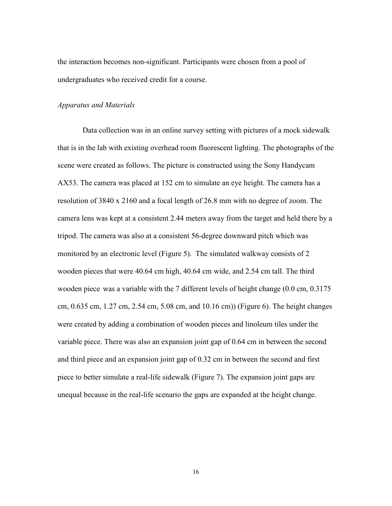the interaction becomes non-significant. Participants were chosen from a pool of undergraduates who received credit for a course.

#### *Apparatus and Materials*

 Data collection was in an online survey setting with pictures of a mock sidewalk that is in the lab with existing overhead room fluorescent lighting. The photographs of the scene were created as follows. The picture is constructed using the Sony Handycam AX53. The camera was placed at 152 cm to simulate an eye height. The camera has a resolution of 3840 x 2160 and a focal length of 26.8 mm with no degree of zoom. The camera lens was kept at a consistent 2.44 meters away from the target and held there by a tripod. The camera was also at a consistent 56-degree downward pitch which was monitored by an electronic level (Figure 5). The simulated walkway consists of 2 wooden pieces that were 40.64 cm high, 40.64 cm wide, and 2.54 cm tall. The third wooden piece was a variable with the 7 different levels of height change (0.0 cm, 0.3175 cm, 0.635 cm, 1.27 cm, 2.54 cm, 5.08 cm, and 10.16 cm)) (Figure 6). The height changes were created by adding a combination of wooden pieces and linoleum tiles under the variable piece. There was also an expansion joint gap of 0.64 cm in between the second and third piece and an expansion joint gap of 0.32 cm in between the second and first piece to better simulate a real-life sidewalk (Figure 7). The expansion joint gaps are unequal because in the real-life scenario the gaps are expanded at the height change.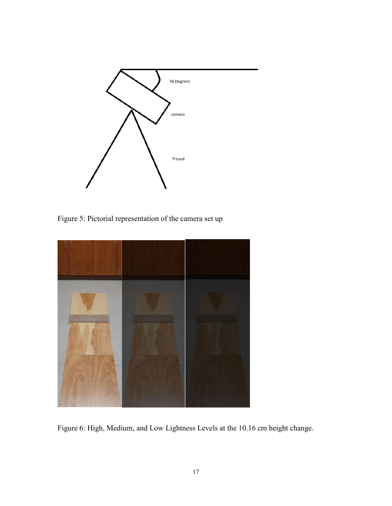

Figure 5: Pictorial representation of the camera set up



Figure 6: High, Medium, and Low Lightness Levels at the 10.16 cm height change.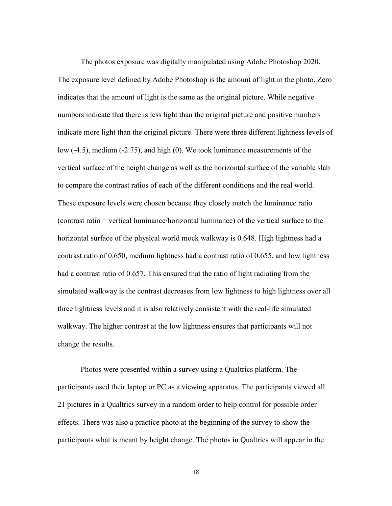The photos exposure was digitally manipulated using Adobe Photoshop 2020. The exposure level defined by Adobe Photoshop is the amount of light in the photo. Zero indicates that the amount of light is the same as the original picture. While negative numbers indicate that there is less light than the original picture and positive numbers indicate more light than the original picture. There were three different lightness levels of low (-4.5), medium (-2.75), and high (0). We took luminance measurements of the vertical surface of the height change as well as the horizontal surface of the variable slab to compare the contrast ratios of each of the different conditions and the real world. These exposure levels were chosen because they closely match the luminance ratio (contrast ratio = vertical luminance/horizontal luminance) of the vertical surface to the horizontal surface of the physical world mock walkway is 0.648. High lightness had a contrast ratio of 0.650, medium lightness had a contrast ratio of 0.655, and low lightness had a contrast ratio of 0.657. This ensured that the ratio of light radiating from the simulated walkway is the contrast decreases from low lightness to high lightness over all three lightness levels and it is also relatively consistent with the real-life simulated walkway. The higher contrast at the low lightness ensures that participants will not change the results.

Photos were presented within a survey using a Qualtrics platform. The participants used their laptop or PC as a viewing apparatus. The participants viewed all 21 pictures in a Qualtrics survey in a random order to help control for possible order effects. There was also a practice photo at the beginning of the survey to show the participants what is meant by height change. The photos in Qualtrics will appear in the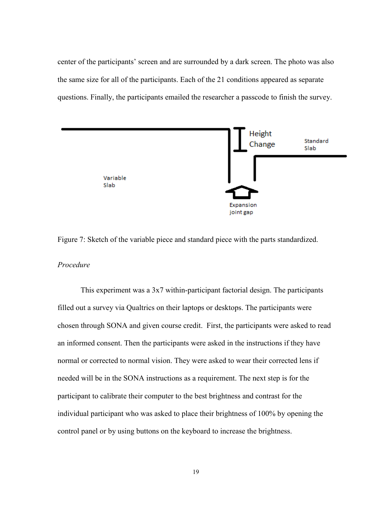center of the participants' screen and are surrounded by a dark screen. The photo was also the same size for all of the participants. Each of the 21 conditions appeared as separate questions. Finally, the participants emailed the researcher a passcode to finish the survey.



Figure 7: Sketch of the variable piece and standard piece with the parts standardized.

### *Procedure*

 This experiment was a 3x7 within-participant factorial design. The participants filled out a survey via Qualtrics on their laptops or desktops. The participants were chosen through SONA and given course credit. First, the participants were asked to read an informed consent. Then the participants were asked in the instructions if they have normal or corrected to normal vision. They were asked to wear their corrected lens if needed will be in the SONA instructions as a requirement. The next step is for the participant to calibrate their computer to the best brightness and contrast for the individual participant who was asked to place their brightness of 100% by opening the control panel or by using buttons on the keyboard to increase the brightness.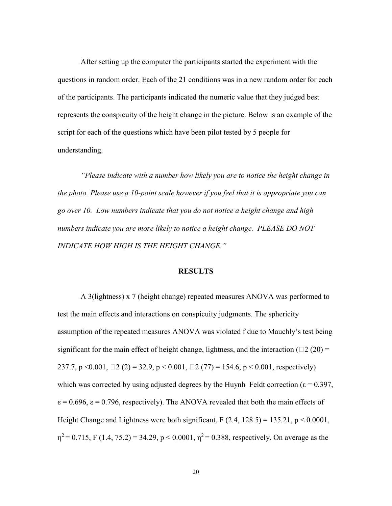After setting up the computer the participants started the experiment with the questions in random order. Each of the 21 conditions was in a new random order for each of the participants. The participants indicated the numeric value that they judged best represents the conspicuity of the height change in the picture. Below is an example of the script for each of the questions which have been pilot tested by 5 people for understanding.

*"Please indicate with a number how likely you are to notice the height change in the photo. Please use a 10-point scale however if you feel that it is appropriate you can go over 10. Low numbers indicate that you do not notice a height change and high numbers indicate you are more likely to notice a height change. PLEASE DO NOT INDICATE HOW HIGH IS THE HEIGHT CHANGE."*

#### **RESULTS**

A 3(lightness) x 7 (height change) repeated measures ANOVA was performed to test the main effects and interactions on conspicuity judgments. The sphericity assumption of the repeated measures ANOVA was violated f due to Mauchly's test being significant for the main effect of height change, lightness, and the interaction ( $\Box$ 2 (20) = 237.7, p < 0.001,  $\Box$  2 (2) = 32.9, p < 0.001,  $\Box$  2 (77) = 154.6, p < 0.001, respectively) which was corrected by using adjusted degrees by the Huynh–Feldt correction ( $\varepsilon = 0.397$ ,  $\epsilon = 0.696$ ,  $\epsilon = 0.796$ , respectively). The ANOVA revealed that both the main effects of Height Change and Lightness were both significant,  $F(2.4, 128.5) = 135.21$ ,  $p < 0.0001$ ,  $\eta^2$  = 0.715, F (1.4, 75.2) = 34.29, p < 0.0001,  $\eta^2$  = 0.388, respectively. On average as the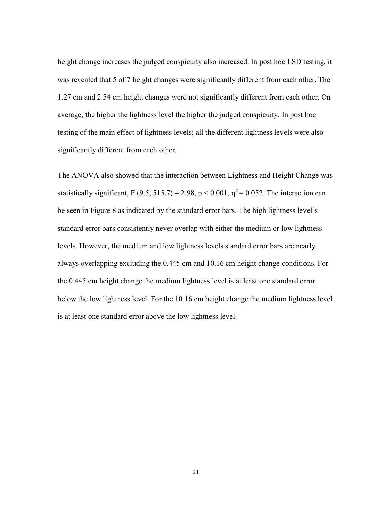height change increases the judged conspicuity also increased. In post hoc LSD testing, it was revealed that 5 of 7 height changes were significantly different from each other. The 1.27 cm and 2.54 cm height changes were not significantly different from each other. On average, the higher the lightness level the higher the judged conspicuity. In post hoc testing of the main effect of lightness levels; all the different lightness levels were also significantly different from each other.

The ANOVA also showed that the interaction between Lightness and Height Change was statistically significant, F (9.5, 515.7) = 2.98, p < 0.001,  $\eta^2$  = 0.052. The interaction can be seen in Figure 8 as indicated by the standard error bars. The high lightness level's standard error bars consistently never overlap with either the medium or low lightness levels. However, the medium and low lightness levels standard error bars are nearly always overlapping excluding the 0.445 cm and 10.16 cm height change conditions. For the 0.445 cm height change the medium lightness level is at least one standard error below the low lightness level. For the 10.16 cm height change the medium lightness level is at least one standard error above the low lightness level.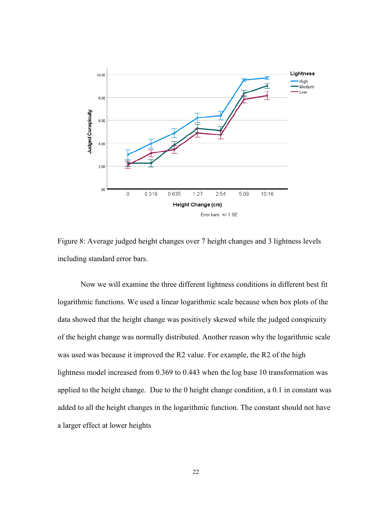

Figure 8: Average judged height changes over 7 height changes and 3 lightness levels including standard error bars.

Now we will examine the three different lightness conditions in different best fit logarithmic functions. We used a linear logarithmic scale because when box plots of the data showed that the height change was positively skewed while the judged conspicuity of the height change was normally distributed. Another reason why the logarithmic scale was used was because it improved the R2 value. For example, the R2 of the high lightness model increased from 0.369 to 0.443 when the log base 10 transformation was applied to the height change. Due to the 0 height change condition, a 0.1 in constant was added to all the height changes in the logarithmic function. The constant should not have a larger effect at lower heights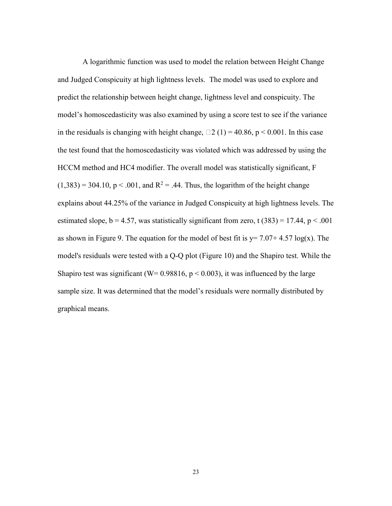A logarithmic function was used to model the relation between Height Change and Judged Conspicuity at high lightness levels. The model was used to explore and predict the relationship between height change, lightness level and conspicuity. The model's homoscedasticity was also examined by using a score test to see if the variance in the residuals is changing with height change,  $\Box$  2 (1) = 40.86, p < 0.001. In this case the test found that the homoscedasticity was violated which was addressed by using the HCCM method and HC4 modifier. The overall model was statistically significant, F  $(1,383) = 304.10$ , p < .001, and R<sup>2</sup> = .44. Thus, the logarithm of the height change explains about 44.25% of the variance in Judged Conspicuity at high lightness levels. The estimated slope,  $b = 4.57$ , was statistically significant from zero, t (383) = 17.44,  $p < .001$ as shown in Figure 9. The equation for the model of best fit is  $y= 7.07+4.57 \log(x)$ . The model's residuals were tested with a Q-Q plot (Figure 10) and the Shapiro test. While the Shapiro test was significant (W=  $0.98816$ ,  $p < 0.003$ ), it was influenced by the large sample size. It was determined that the model's residuals were normally distributed by graphical means.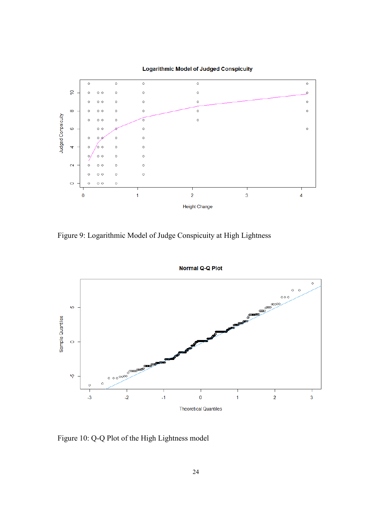

**Logarithmic Model of Judged Conspicuity** 

Figure 9: Logarithmic Model of Judge Conspicuity at High Lightness



Figure 10: Q-Q Plot of the High Lightness model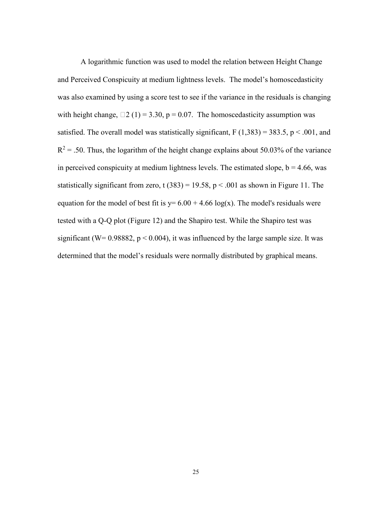A logarithmic function was used to model the relation between Height Change and Perceived Conspicuity at medium lightness levels. The model's homoscedasticity was also examined by using a score test to see if the variance in the residuals is changing with height change,  $\Box 2$  (1) = 3.30, p = 0.07. The homoscedasticity assumption was satisfied. The overall model was statistically significant,  $F(1,383) = 383.5$ ,  $p < .001$ , and  $R^2$  = .50. Thus, the logarithm of the height change explains about 50.03% of the variance in perceived conspicuity at medium lightness levels. The estimated slope,  $b = 4.66$ , was statistically significant from zero, t  $(383) = 19.58$ , p < .001 as shown in Figure 11. The equation for the model of best fit is  $y= 6.00 + 4.66 \log(x)$ . The model's residuals were tested with a Q-Q plot (Figure 12) and the Shapiro test. While the Shapiro test was significant (W=  $0.98882$ , p <  $0.004$ ), it was influenced by the large sample size. It was determined that the model's residuals were normally distributed by graphical means.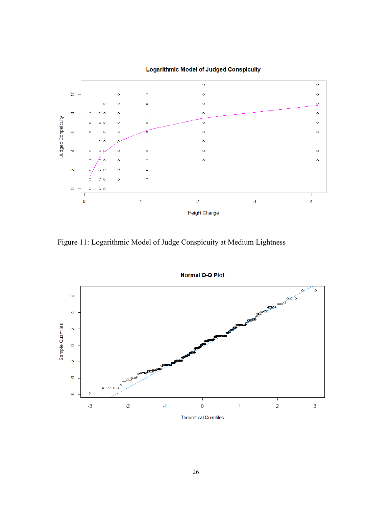

**Logarithmic Model of Judged Conspicuity** 

Figure 11: Logarithmic Model of Judge Conspicuity at Medium Lightness



**Normal Q-Q Plot**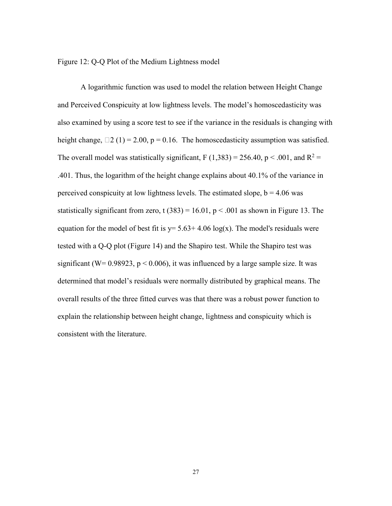Figure 12: Q-Q Plot of the Medium Lightness model

A logarithmic function was used to model the relation between Height Change and Perceived Conspicuity at low lightness levels. The model's homoscedasticity was also examined by using a score test to see if the variance in the residuals is changing with height change,  $\Box 2$  (1) = 2.00, p = 0.16. The homoscedasticity assumption was satisfied. The overall model was statistically significant, F (1,383) = 256.40, p < .001, and  $R^2$  = .401. Thus, the logarithm of the height change explains about 40.1% of the variance in perceived conspicuity at low lightness levels. The estimated slope,  $b = 4.06$  was statistically significant from zero, t  $(383) = 16.01$ , p < .001 as shown in Figure 13. The equation for the model of best fit is  $y = 5.63 + 4.06 \log(x)$ . The model's residuals were tested with a Q-Q plot (Figure 14) and the Shapiro test. While the Shapiro test was significant (W=  $0.98923$ , p <  $0.006$ ), it was influenced by a large sample size. It was determined that model's residuals were normally distributed by graphical means. The overall results of the three fitted curves was that there was a robust power function to explain the relationship between height change, lightness and conspicuity which is consistent with the literature.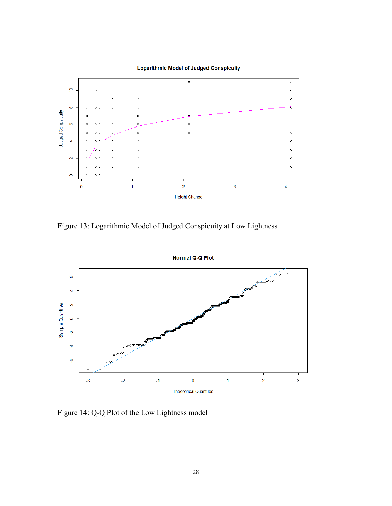

Figure 13: Logarithmic Model of Judged Conspicuity at Low Lightness



Figure 14: Q-Q Plot of the Low Lightness model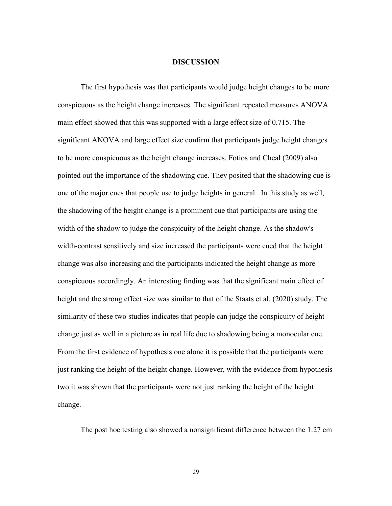#### **DISCUSSION**

The first hypothesis was that participants would judge height changes to be more conspicuous as the height change increases. The significant repeated measures ANOVA main effect showed that this was supported with a large effect size of 0.715. The significant ANOVA and large effect size confirm that participants judge height changes to be more conspicuous as the height change increases. Fotios and Cheal (2009) also pointed out the importance of the shadowing cue. They posited that the shadowing cue is one of the major cues that people use to judge heights in general. In this study as well, the shadowing of the height change is a prominent cue that participants are using the width of the shadow to judge the conspicuity of the height change. As the shadow's width-contrast sensitively and size increased the participants were cued that the height change was also increasing and the participants indicated the height change as more conspicuous accordingly. An interesting finding was that the significant main effect of height and the strong effect size was similar to that of the Staats et al. (2020) study. The similarity of these two studies indicates that people can judge the conspicuity of height change just as well in a picture as in real life due to shadowing being a monocular cue. From the first evidence of hypothesis one alone it is possible that the participants were just ranking the height of the height change. However, with the evidence from hypothesis two it was shown that the participants were not just ranking the height of the height change.

The post hoc testing also showed a nonsignificant difference between the 1.27 cm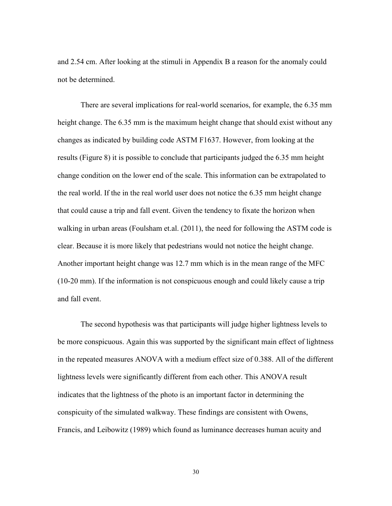and 2.54 cm. After looking at the stimuli in Appendix B a reason for the anomaly could not be determined.

There are several implications for real-world scenarios, for example, the 6.35 mm height change. The 6.35 mm is the maximum height change that should exist without any changes as indicated by building code ASTM F1637. However, from looking at the results (Figure 8) it is possible to conclude that participants judged the 6.35 mm height change condition on the lower end of the scale. This information can be extrapolated to the real world. If the in the real world user does not notice the 6.35 mm height change that could cause a trip and fall event. Given the tendency to fixate the horizon when walking in urban areas (Foulsham et.al. (2011), the need for following the ASTM code is clear. Because it is more likely that pedestrians would not notice the height change. Another important height change was 12.7 mm which is in the mean range of the MFC (10-20 mm). If the information is not conspicuous enough and could likely cause a trip and fall event.

The second hypothesis was that participants will judge higher lightness levels to be more conspicuous. Again this was supported by the significant main effect of lightness in the repeated measures ANOVA with a medium effect size of 0.388. All of the different lightness levels were significantly different from each other. This ANOVA result indicates that the lightness of the photo is an important factor in determining the conspicuity of the simulated walkway. These findings are consistent with Owens, Francis, and Leibowitz (1989) which found as luminance decreases human acuity and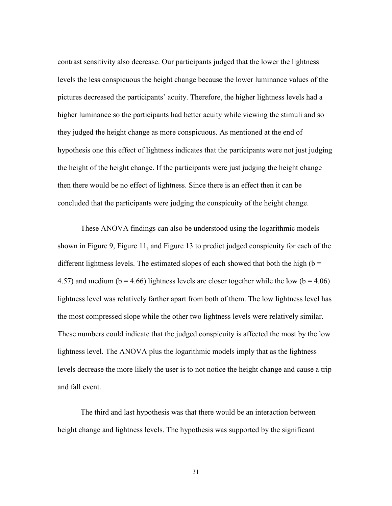contrast sensitivity also decrease. Our participants judged that the lower the lightness levels the less conspicuous the height change because the lower luminance values of the pictures decreased the participants' acuity. Therefore, the higher lightness levels had a higher luminance so the participants had better acuity while viewing the stimuli and so they judged the height change as more conspicuous. As mentioned at the end of hypothesis one this effect of lightness indicates that the participants were not just judging the height of the height change. If the participants were just judging the height change then there would be no effect of lightness. Since there is an effect then it can be concluded that the participants were judging the conspicuity of the height change.

These ANOVA findings can also be understood using the logarithmic models shown in Figure 9, Figure 11, and Figure 13 to predict judged conspicuity for each of the different lightness levels. The estimated slopes of each showed that both the high ( $b =$ 4.57) and medium ( $b = 4.66$ ) lightness levels are closer together while the low ( $b = 4.06$ ) lightness level was relatively farther apart from both of them. The low lightness level has the most compressed slope while the other two lightness levels were relatively similar. These numbers could indicate that the judged conspicuity is affected the most by the low lightness level. The ANOVA plus the logarithmic models imply that as the lightness levels decrease the more likely the user is to not notice the height change and cause a trip and fall event.

The third and last hypothesis was that there would be an interaction between height change and lightness levels. The hypothesis was supported by the significant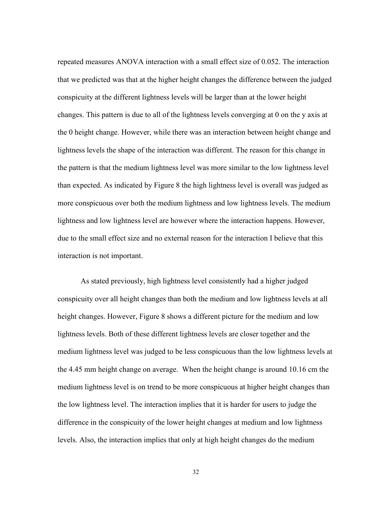repeated measures ANOVA interaction with a small effect size of 0.052. The interaction that we predicted was that at the higher height changes the difference between the judged conspicuity at the different lightness levels will be larger than at the lower height changes. This pattern is due to all of the lightness levels converging at 0 on the y axis at the 0 height change. However, while there was an interaction between height change and lightness levels the shape of the interaction was different. The reason for this change in the pattern is that the medium lightness level was more similar to the low lightness level than expected. As indicated by Figure 8 the high lightness level is overall was judged as more conspicuous over both the medium lightness and low lightness levels. The medium lightness and low lightness level are however where the interaction happens. However, due to the small effect size and no external reason for the interaction I believe that this interaction is not important.

As stated previously, high lightness level consistently had a higher judged conspicuity over all height changes than both the medium and low lightness levels at all height changes. However, Figure 8 shows a different picture for the medium and low lightness levels. Both of these different lightness levels are closer together and the medium lightness level was judged to be less conspicuous than the low lightness levels at the 4.45 mm height change on average. When the height change is around 10.16 cm the medium lightness level is on trend to be more conspicuous at higher height changes than the low lightness level. The interaction implies that it is harder for users to judge the difference in the conspicuity of the lower height changes at medium and low lightness levels. Also, the interaction implies that only at high height changes do the medium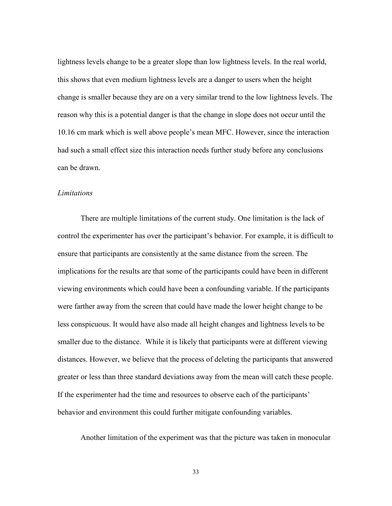lightness levels change to be a greater slope than low lightness levels. In the real world, this shows that even medium lightness levels are a danger to users when the height change is smaller because they are on a very similar trend to the low lightness levels. The reason why this is a potential danger is that the change in slope does not occur until the 10.16 cm mark which is well above people's mean MFC. However, since the interaction had such a small effect size this interaction needs further study before any conclusions can be drawn.

#### *Limitations*

There are multiple limitations of the current study. One limitation is the lack of control the experimenter has over the participant's behavior. For example, it is difficult to ensure that participants are consistently at the same distance from the screen. The implications for the results are that some of the participants could have been in different viewing environments which could have been a confounding variable. If the participants were farther away from the screen that could have made the lower height change to be less conspicuous. It would have also made all height changes and lightness levels to be smaller due to the distance. While it is likely that participants were at different viewing distances. However, we believe that the process of deleting the participants that answered greater or less than three standard deviations away from the mean will catch these people. If the experimenter had the time and resources to observe each of the participants' behavior and environment this could further mitigate confounding variables.

Another limitation of the experiment was that the picture was taken in monocular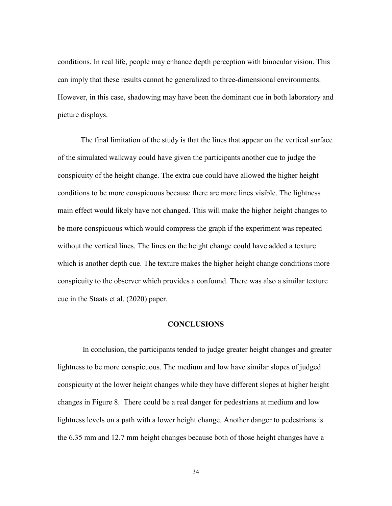conditions. In real life, people may enhance depth perception with binocular vision. This can imply that these results cannot be generalized to three-dimensional environments. However, in this case, shadowing may have been the dominant cue in both laboratory and picture displays.

The final limitation of the study is that the lines that appear on the vertical surface of the simulated walkway could have given the participants another cue to judge the conspicuity of the height change. The extra cue could have allowed the higher height conditions to be more conspicuous because there are more lines visible. The lightness main effect would likely have not changed. This will make the higher height changes to be more conspicuous which would compress the graph if the experiment was repeated without the vertical lines. The lines on the height change could have added a texture which is another depth cue. The texture makes the higher height change conditions more conspicuity to the observer which provides a confound. There was also a similar texture cue in the Staats et al. (2020) paper.

#### **CONCLUSIONS**

In conclusion, the participants tended to judge greater height changes and greater lightness to be more conspicuous. The medium and low have similar slopes of judged conspicuity at the lower height changes while they have different slopes at higher height changes in Figure 8. There could be a real danger for pedestrians at medium and low lightness levels on a path with a lower height change. Another danger to pedestrians is the 6.35 mm and 12.7 mm height changes because both of those height changes have a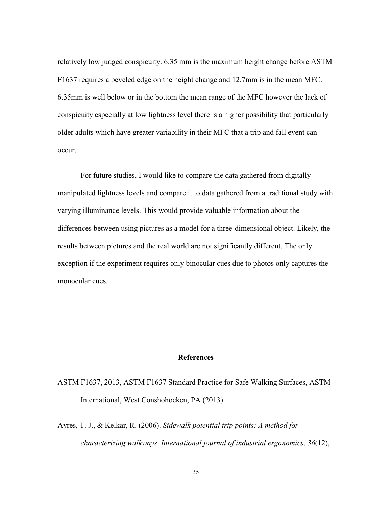relatively low judged conspicuity. 6.35 mm is the maximum height change before ASTM F1637 requires a beveled edge on the height change and 12.7mm is in the mean MFC. 6.35mm is well below or in the bottom the mean range of the MFC however the lack of conspicuity especially at low lightness level there is a higher possibility that particularly older adults which have greater variability in their MFC that a trip and fall event can occur.

For future studies, I would like to compare the data gathered from digitally manipulated lightness levels and compare it to data gathered from a traditional study with varying illuminance levels. This would provide valuable information about the differences between using pictures as a model for a three-dimensional object. Likely, the results between pictures and the real world are not significantly different. The only exception if the experiment requires only binocular cues due to photos only captures the monocular cues.

#### **References**

# ASTM F1637, 2013, ASTM F1637 Standard Practice for Safe Walking Surfaces, ASTM International, West Conshohocken, PA (2013)

Ayres, T. J., & Kelkar, R. (2006). *Sidewalk potential trip points: A method for characterizing walkways*. *International journal of industrial ergonomics*, *36*(12),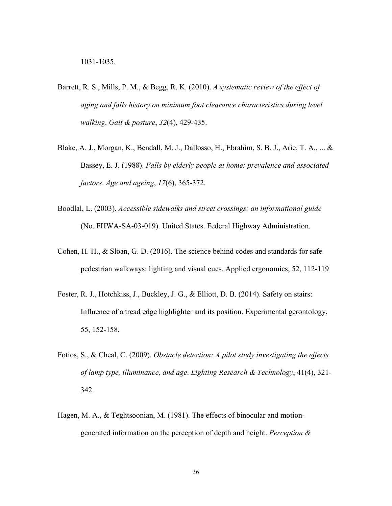- Barrett, R. S., Mills, P. M., & Begg, R. K. (2010). *A systematic review of the effect of aging and falls history on minimum foot clearance characteristics during level walking*. *Gait & posture*, *32*(4), 429-435.
- Blake, A. J., Morgan, K., Bendall, M. J., Dallosso, H., Ebrahim, S. B. J., Arie, T. A., ... & Bassey, E. J. (1988). *Falls by elderly people at home: prevalence and associated factors*. *Age and ageing*, *17*(6), 365-372.
- Boodlal, L. (2003). *Accessible sidewalks and street crossings: an informational guide* (No. FHWA-SA-03-019). United States. Federal Highway Administration.
- Cohen, H. H., & Sloan, G. D. (2016). The science behind codes and standards for safe pedestrian walkways: lighting and visual cues. Applied ergonomics, 52, 112-119
- Foster, R. J., Hotchkiss, J., Buckley, J. G., & Elliott, D. B. (2014). Safety on stairs: Influence of a tread edge highlighter and its position. Experimental gerontology, 55, 152-158.
- Fotios, S., & Cheal, C. (2009). *Obstacle detection: A pilot study investigating the effects of lamp type, illuminance, and age*. *Lighting Research & Technology*, 41(4), 321- 342.
- Hagen, M. A., & Teghtsoonian, M. (1981). The effects of binocular and motiongenerated information on the perception of depth and height. *Perception &*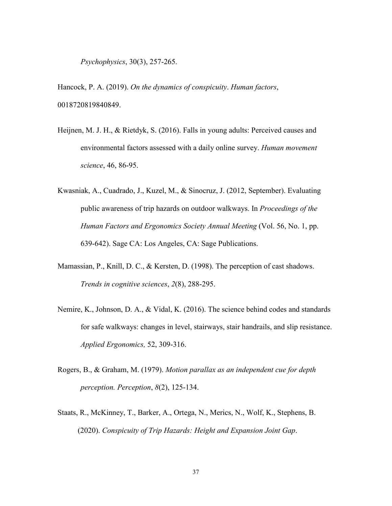*Psychophysics*, 30(3), 257-265.

Hancock, P. A. (2019). *On the dynamics of conspicuity*. *Human factors*, 0018720819840849.

- Heijnen, M. J. H., & Rietdyk, S. (2016). Falls in young adults: Perceived causes and environmental factors assessed with a daily online survey. *Human movement science*, 46, 86-95.
- Kwasniak, A., Cuadrado, J., Kuzel, M., & Sinocruz, J. (2012, September). Evaluating public awareness of trip hazards on outdoor walkways. In *Proceedings of the Human Factors and Ergonomics Society Annual Meeting* (Vol. 56, No. 1, pp. 639-642). Sage CA: Los Angeles, CA: Sage Publications.
- Mamassian, P., Knill, D. C., & Kersten, D. (1998). The perception of cast shadows. *Trends in cognitive sciences*, *2*(8), 288-295.
- Nemire, K., Johnson, D. A., & Vidal, K. (2016). The science behind codes and standards for safe walkways: changes in level, stairways, stair handrails, and slip resistance. *Applied Ergonomics,* 52, 309-316.
- Rogers, B., & Graham, M. (1979). *Motion parallax as an independent cue for depth perception. Perception*, *8*(2), 125-134.
- Staats, R., McKinney, T., Barker, A., Ortega, N., Merics, N., Wolf, K., Stephens, B. (2020). *Conspicuity of Trip Hazards: Height and Expansion Joint Gap*.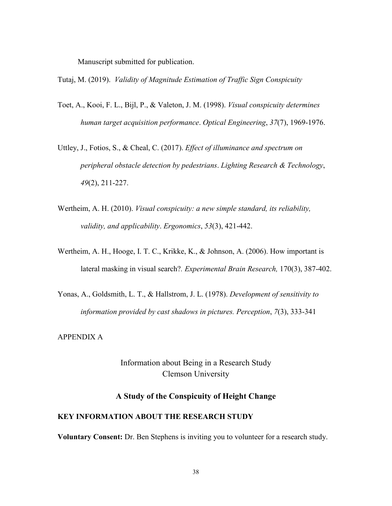Manuscript submitted for publication.

Tutaj, M. (2019). *Validity of Magnitude Estimation of Traffic Sign Conspicuity*

- Toet, A., Kooi, F. L., Bijl, P., & Valeton, J. M. (1998). *Visual conspicuity determines human target acquisition performance*. *Optical Engineering*, *37*(7), 1969-1976.
- Uttley, J., Fotios, S., & Cheal, C. (2017). *Effect of illuminance and spectrum on peripheral obstacle detection by pedestrians*. *Lighting Research & Technology*, *49*(2), 211-227.
- Wertheim, A. H. (2010). *Visual conspicuity: a new simple standard, its reliability, validity, and applicability*. *Ergonomics*, *53*(3), 421-442.
- Wertheim, A. H., Hooge, I. T. C., Krikke, K., & Johnson, A. (2006). How important is lateral masking in visual search?*. Experimental Brain Research,* 170(3), 387-402.
- Yonas, A., Goldsmith, L. T., & Hallstrom, J. L. (1978). *Development of sensitivity to information provided by cast shadows in pictures. Perception*, *7*(3), 333-341

APPENDIX A

Information about Being in a Research Study Clemson University

## **A Study of the Conspicuity of Height Change**

#### **KEY INFORMATION ABOUT THE RESEARCH STUDY**

**Voluntary Consent:** Dr. Ben Stephens is inviting you to volunteer for a research study.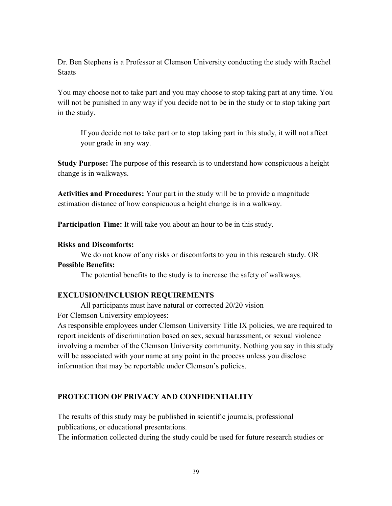Dr. Ben Stephens is a Professor at Clemson University conducting the study with Rachel **Staats** 

You may choose not to take part and you may choose to stop taking part at any time. You will not be punished in any way if you decide not to be in the study or to stop taking part in the study.

If you decide not to take part or to stop taking part in this study, it will not affect your grade in any way.

**Study Purpose:** The purpose of this research is to understand how conspicuous a height change is in walkways.

**Activities and Procedures:** Your part in the study will be to provide a magnitude estimation distance of how conspicuous a height change is in a walkway.

**Participation Time:** It will take you about an hour to be in this study.

## **Risks and Discomforts:**

We do not know of any risks or discomforts to you in this research study. OR **Possible Benefits:**

The potential benefits to the study is to increase the safety of walkways.

## **EXCLUSION/INCLUSION REQUIREMENTS**

All participants must have natural or corrected 20/20 vision For Clemson University employees:

As responsible employees under Clemson University Title IX policies, we are required to report incidents of discrimination based on sex, sexual harassment, or sexual violence involving a member of the Clemson University community. Nothing you say in this study will be associated with your name at any point in the process unless you disclose information that may be reportable under Clemson's policies.

## **PROTECTION OF PRIVACY AND CONFIDENTIALITY**

The results of this study may be published in scientific journals, professional publications, or educational presentations.

The information collected during the study could be used for future research studies or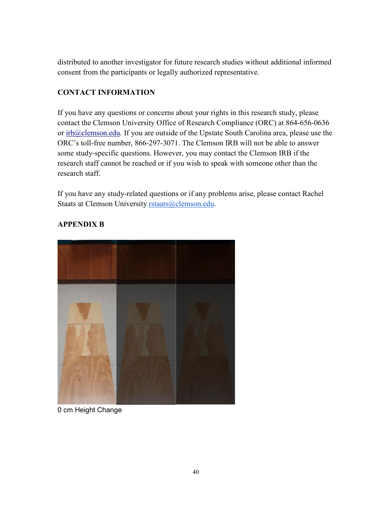distributed to another investigator for future research studies without additional informed consent from the participants or legally authorized representative.

## **CONTACT INFORMATION**

If you have any questions or concerns about your rights in this research study, please contact the Clemson University Office of Research Compliance (ORC) at 864-656-0636 or [irb@clemson.edu.](mailto:irb@clemson.edu) If you are outside of the Upstate South Carolina area, please use the ORC's toll-free number, 866-297-3071. The Clemson IRB will not be able to answer some study-specific questions. However, you may contact the Clemson IRB if the research staff cannot be reached or if you wish to speak with someone other than the research staff.

If you have any study-related questions or if any problems arise, please contact Rachel Staats at Clemson University [rstaats@clemson.edu.](mailto:rstaats@clemson.edu)



# **APPENDIX B**

0 cm Height Change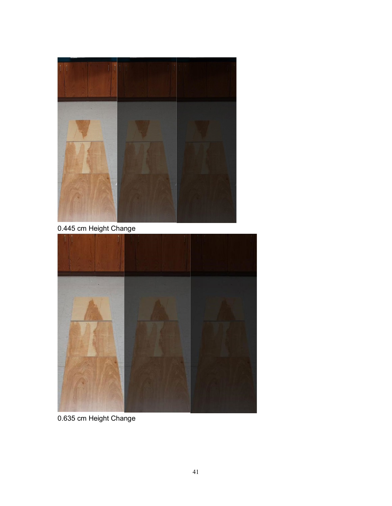

0.445 cm Height Change



0.635 cm Height Change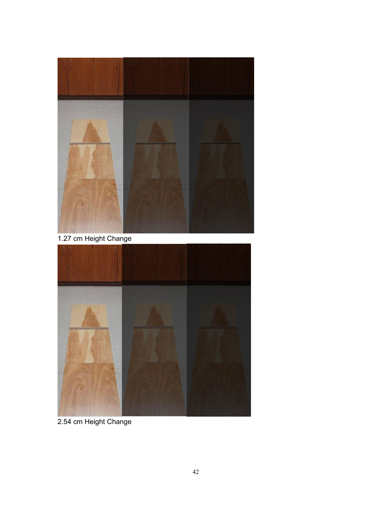

1.27 cm Height Change



2.54 cm Height Change